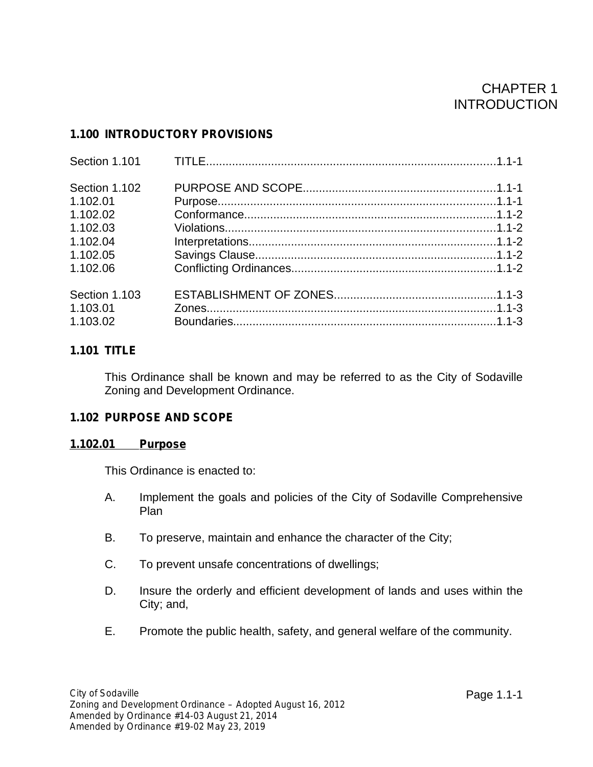# CHAPTER 1 INTRODUCTION

# **1.100 INTRODUCTORY PROVISIONS**

| Section 1.101 |  |
|---------------|--|
| Section 1.102 |  |
| 1.102.01      |  |
| 1.102.02      |  |
| 1.102.03      |  |
| 1.102.04      |  |
| 1.102.05      |  |
| 1.102.06      |  |
| Section 1.103 |  |
| 1.103.01      |  |
| 1.103.02      |  |

# **1.101 TITLE**

This Ordinance shall be known and may be referred to as the City of Sodaville Zoning and Development Ordinance.

# **1.102 PURPOSE AND SCOPE**

# **1.102.01 Purpose**

This Ordinance is enacted to:

- A. Implement the goals and policies of the City of Sodaville Comprehensive Plan
- B. To preserve, maintain and enhance the character of the City;
- C. To prevent unsafe concentrations of dwellings;
- D. Insure the orderly and efficient development of lands and uses within the City; and,
- E. Promote the public health, safety, and general welfare of the community.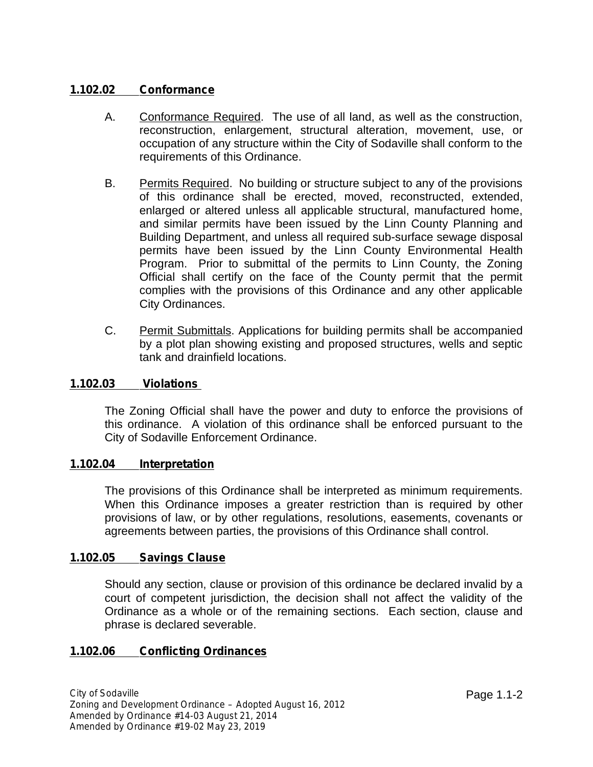# **1.102.02 Conformance**

- A. Conformance Required. The use of all land, as well as the construction, reconstruction, enlargement, structural alteration, movement, use, or occupation of any structure within the City of Sodaville shall conform to the requirements of this Ordinance.
- B. Permits Required. No building or structure subject to any of the provisions of this ordinance shall be erected, moved, reconstructed, extended, enlarged or altered unless all applicable structural, manufactured home, and similar permits have been issued by the Linn County Planning and Building Department, and unless all required sub-surface sewage disposal permits have been issued by the Linn County Environmental Health Program. Prior to submittal of the permits to Linn County, the Zoning Official shall certify on the face of the County permit that the permit complies with the provisions of this Ordinance and any other applicable City Ordinances.
- C. Permit Submittals. Applications for building permits shall be accompanied by a plot plan showing existing and proposed structures, wells and septic tank and drainfield locations.

## **1.102.03 Violations**

The Zoning Official shall have the power and duty to enforce the provisions of this ordinance. A violation of this ordinance shall be enforced pursuant to the City of Sodaville Enforcement Ordinance.

#### **1.102.04 Interpretation**

The provisions of this Ordinance shall be interpreted as minimum requirements. When this Ordinance imposes a greater restriction than is required by other provisions of law, or by other regulations, resolutions, easements, covenants or agreements between parties, the provisions of this Ordinance shall control.

#### **1.102.05 Savings Clause**

Should any section, clause or provision of this ordinance be declared invalid by a court of competent jurisdiction, the decision shall not affect the validity of the Ordinance as a whole or of the remaining sections. Each section, clause and phrase is declared severable.

# **1.102.06 Conflicting Ordinances**